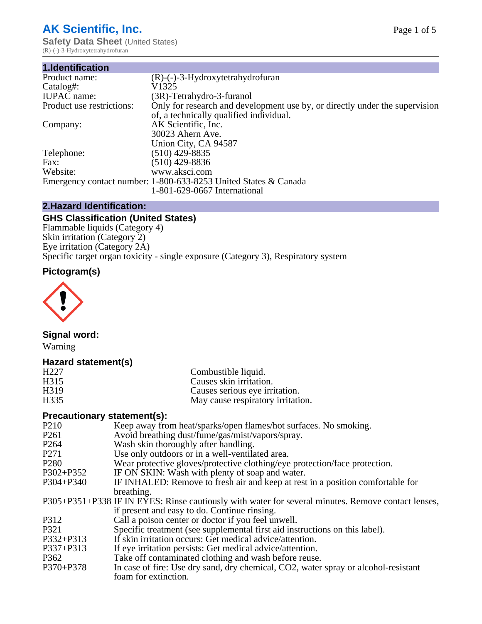# **AK Scientific, Inc.**

**Safety Data Sheet (United States)** (R)-(-)-3-Hydroxytetrahydrofuran

| 1.Identification          |                                                                             |
|---------------------------|-----------------------------------------------------------------------------|
| Product name:             | $(R)$ - $(-)$ -3-Hydroxytetrahydrofuran                                     |
| Catalog#:                 | V1325                                                                       |
| <b>IUPAC</b> name:        | (3R)-Tetrahydro-3-furanol                                                   |
| Product use restrictions: | Only for research and development use by, or directly under the supervision |
|                           | of, a technically qualified individual.                                     |
| Company:                  | AK Scientific, Inc.                                                         |
|                           | 30023 Ahern Ave.                                                            |
|                           | Union City, CA 94587                                                        |
| Telephone:                | $(510)$ 429-8835                                                            |
| Fax:                      | $(510)$ 429-8836                                                            |
| Website:                  | www.aksci.com                                                               |
|                           | Emergency contact number: 1-800-633-8253 United States & Canada             |
|                           | 1-801-629-0667 International                                                |

# **2.Hazard Identification:**

# **GHS Classification (United States)**

Flammable liquids (Category 4) Skin irritation (Category 2) Eye irritation (Category 2A) Specific target organ toxicity - single exposure (Category 3), Respiratory system

# **Pictogram(s)**



# **Signal word:**

Warning

# **Hazard statement(s)**

| H <sub>3</sub> 19<br>Causes serious eye irritation.<br>H <sub>335</sub><br>May cause respiratory irritation. | H <sub>227</sub><br>H <sub>3</sub> 15 | Combustible liquid.<br>Causes skin irritation. |
|--------------------------------------------------------------------------------------------------------------|---------------------------------------|------------------------------------------------|
|                                                                                                              |                                       |                                                |
|                                                                                                              |                                       |                                                |

# **Precautionary statement(s):**

| P <sub>210</sub> | Keep away from heat/sparks/open flames/hot surfaces. No smoking.                                   |
|------------------|----------------------------------------------------------------------------------------------------|
| P <sub>261</sub> | Avoid breathing dust/fume/gas/mist/vapors/spray.                                                   |
| P <sub>264</sub> | Wash skin thoroughly after handling.                                                               |
| P271             | Use only outdoors or in a well-ventilated area.                                                    |
| P <sub>280</sub> | Wear protective gloves/protective clothing/eye protection/face protection.                         |
| P302+P352        | IF ON SKIN: Wash with plenty of soap and water.                                                    |
| P304+P340        | IF INHALED: Remove to fresh air and keep at rest in a position comfortable for                     |
|                  | breathing.                                                                                         |
|                  | P305+P351+P338 IF IN EYES: Rinse cautiously with water for several minutes. Remove contact lenses, |
|                  | if present and easy to do. Continue rinsing.                                                       |
| P312             | Call a poison center or doctor if you feel unwell.                                                 |
| P321             | Specific treatment (see supplemental first aid instructions on this label).                        |
| P332+P313        | If skin irritation occurs: Get medical advice/attention.                                           |
| P337+P313        | If eye irritation persists: Get medical advice/attention.                                          |
| P362             | Take off contaminated clothing and wash before reuse.                                              |
| P370+P378        | In case of fire: Use dry sand, dry chemical, CO2, water spray or alcohol-resistant                 |
|                  | foam for extinction.                                                                               |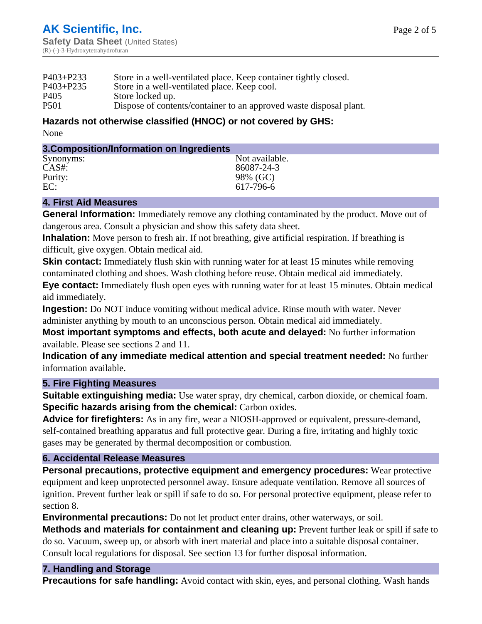| $P403 + P233$    | Store in a well-ventilated place. Keep container tightly closed.   |
|------------------|--------------------------------------------------------------------|
| $P403 + P235$    | Store in a well-ventilated place. Keep cool.                       |
| P <sub>405</sub> | Store locked up.                                                   |
| <b>P501</b>      | Dispose of contents/container to an approved waste disposal plant. |

#### **Hazards not otherwise classified (HNOC) or not covered by GHS:** None

#### **3.Composition/Information on Ingredients**

| Synonyms: | Not available. |
|-----------|----------------|
| $CAS#$ :  | 86087-24-3     |
| Purity:   | 98% (GC)       |
| EC:       | 617-796-6      |

#### **4. First Aid Measures**

**General Information:** Immediately remove any clothing contaminated by the product. Move out of dangerous area. Consult a physician and show this safety data sheet.

**Inhalation:** Move person to fresh air. If not breathing, give artificial respiration. If breathing is difficult, give oxygen. Obtain medical aid.

**Skin contact:** Immediately flush skin with running water for at least 15 minutes while removing contaminated clothing and shoes. Wash clothing before reuse. Obtain medical aid immediately.

**Eye contact:** Immediately flush open eyes with running water for at least 15 minutes. Obtain medical aid immediately.

**Ingestion:** Do NOT induce vomiting without medical advice. Rinse mouth with water. Never administer anything by mouth to an unconscious person. Obtain medical aid immediately.

**Most important symptoms and effects, both acute and delayed:** No further information available. Please see sections 2 and 11.

**Indication of any immediate medical attention and special treatment needed:** No further information available.

#### **5. Fire Fighting Measures**

**Suitable extinguishing media:** Use water spray, dry chemical, carbon dioxide, or chemical foam. **Specific hazards arising from the chemical:** Carbon oxides.

**Advice for firefighters:** As in any fire, wear a NIOSH-approved or equivalent, pressure-demand, self-contained breathing apparatus and full protective gear. During a fire, irritating and highly toxic gases may be generated by thermal decomposition or combustion.

#### **6. Accidental Release Measures**

**Personal precautions, protective equipment and emergency procedures:** Wear protective equipment and keep unprotected personnel away. Ensure adequate ventilation. Remove all sources of ignition. Prevent further leak or spill if safe to do so. For personal protective equipment, please refer to section 8.

**Environmental precautions:** Do not let product enter drains, other waterways, or soil.

**Methods and materials for containment and cleaning up:** Prevent further leak or spill if safe to do so. Vacuum, sweep up, or absorb with inert material and place into a suitable disposal container. Consult local regulations for disposal. See section 13 for further disposal information.

# **7. Handling and Storage**

**Precautions for safe handling:** Avoid contact with skin, eyes, and personal clothing. Wash hands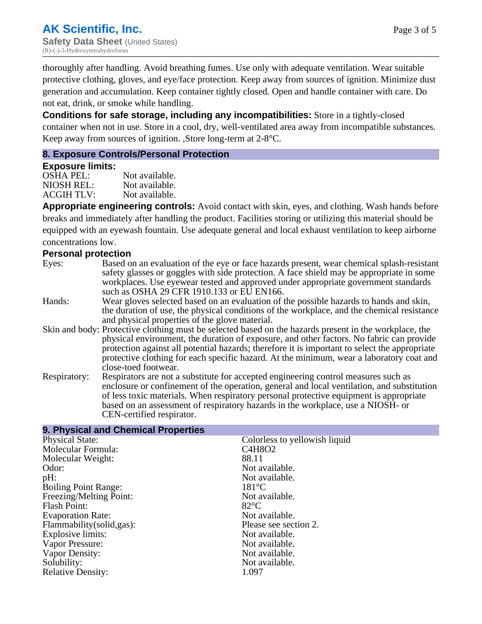thoroughly after handling. Avoid breathing fumes. Use only with adequate ventilation. Wear suitable protective clothing, gloves, and eye/face protection. Keep away from sources of ignition. Minimize dust generation and accumulation. Keep container tightly closed. Open and handle container with care. Do not eat, drink, or smoke while handling.

**Conditions for safe storage, including any incompatibilities:** Store in a tightly-closed container when not in use. Store in a cool, dry, well-ventilated area away from incompatible substances. Keep away from sources of ignition. ,Store long-term at 2-8°C.

# **8. Exposure Controls/Personal Protection**

**9. Physical and Chemical Properties**

#### **Exposure limits:**

OSHA PEL: Not available. NIOSH REL: Not available.<br>ACGIH TLV: Not available. ACGIH TLV:

**Appropriate engineering controls:** Avoid contact with skin, eyes, and clothing. Wash hands before breaks and immediately after handling the product. Facilities storing or utilizing this material should be equipped with an eyewash fountain. Use adequate general and local exhaust ventilation to keep airborne concentrations low.

# **Personal protection**

- Eyes: Based on an evaluation of the eye or face hazards present, wear chemical splash-resistant safety glasses or goggles with side protection. A face shield may be appropriate in some workplaces. Use eyewear tested and approved under appropriate government standards such as OSHA 29 CFR 1910.133 or EU EN166.
- Hands: Wear gloves selected based on an evaluation of the possible hazards to hands and skin, the duration of use, the physical conditions of the workplace, and the chemical resistance and physical properties of the glove material.
- Skin and body: Protective clothing must be selected based on the hazards present in the workplace, the physical environment, the duration of exposure, and other factors. No fabric can provide protection against all potential hazards; therefore it is important to select the appropriate protective clothing for each specific hazard. At the minimum, wear a laboratory coat and close-toed footwear.
- Respiratory: Respirators are not a substitute for accepted engineering control measures such as enclosure or confinement of the operation, general and local ventilation, and substitution of less toxic materials. When respiratory personal protective equipment is appropriate based on an assessment of respiratory hazards in the workplace, use a NIOSH- or CEN-certified respirator.

| 9. Physical and Unemical Properties |                               |
|-------------------------------------|-------------------------------|
| <b>Physical State:</b>              | Colorless to yellowish liquid |
| Molecular Formula:                  | C4H8O2                        |
| Molecular Weight:                   | 88.11                         |
| Odor:                               | Not available.                |
| pH:                                 | Not available.                |
| <b>Boiling Point Range:</b>         | $181^{\circ}$ C               |
| Freezing/Melting Point:             | Not available.                |
| <b>Flash Point:</b>                 | $82^{\circ}$ C                |
| <b>Evaporation Rate:</b>            | Not available.                |
| Flammability (solid, gas):          | Please see section 2.         |
| Explosive limits:                   | Not available.                |
| Vapor Pressure:                     | Not available.                |
| Vapor Density:                      | Not available.                |
| Solubility:                         | Not available.                |
| <b>Relative Density:</b>            | 1.097                         |
|                                     |                               |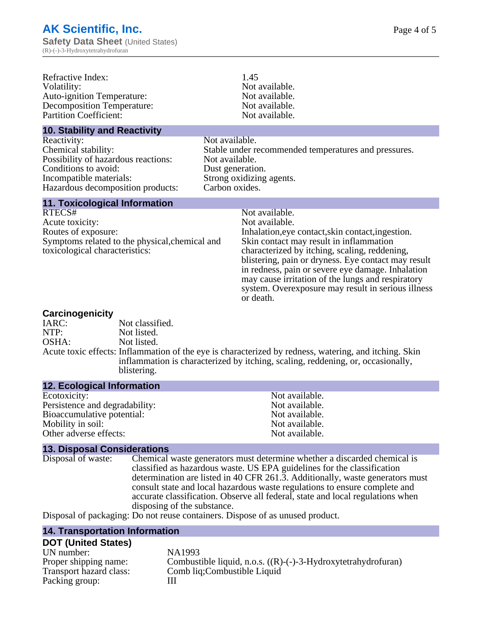| Refractive Index:<br>Volatility:<br><b>Auto-ignition Temperature:</b><br><b>Decomposition Temperature:</b><br><b>Partition Coefficient:</b>                       | 1.45<br>Not available.<br>Not available.<br>Not available.<br>Not available.                                                                                                                                                                                                                                                                                                                                          |
|-------------------------------------------------------------------------------------------------------------------------------------------------------------------|-----------------------------------------------------------------------------------------------------------------------------------------------------------------------------------------------------------------------------------------------------------------------------------------------------------------------------------------------------------------------------------------------------------------------|
| <b>10. Stability and Reactivity</b>                                                                                                                               |                                                                                                                                                                                                                                                                                                                                                                                                                       |
| Reactivity:<br>Chemical stability:<br>Possibility of hazardous reactions:<br>Conditions to avoid:<br>Incompatible materials:<br>Hazardous decomposition products: | Not available.<br>Stable under recommended temperatures and pressures.<br>Not available.<br>Dust generation.<br>Strong oxidizing agents.<br>Carbon oxides.                                                                                                                                                                                                                                                            |
| <b>11. Toxicological Information</b>                                                                                                                              |                                                                                                                                                                                                                                                                                                                                                                                                                       |
| RTECS#<br>Acute toxicity:<br>Routes of exposure:<br>Symptoms related to the physical, chemical and<br>toxicological characteristics:                              | Not available.<br>Not available.<br>Inhalation, eye contact, skin contact, ingestion.<br>Skin contact may result in inflammation<br>characterized by itching, scaling, reddening,<br>blistering, pain or dryness. Eye contact may result<br>in redness, pain or severe eye damage. Inhalation<br>may cause irritation of the lungs and respiratory<br>system. Overexposure may result in serious illness<br>or death. |
| Carcinogenicity                                                                                                                                                   |                                                                                                                                                                                                                                                                                                                                                                                                                       |

#### IARC: Not classified.<br>
NOTP: Not listed. NTP:<br>
OSHA: Not listed.<br>
Not listed. Not listed. Acute toxic effects: Inflammation of the eye is characterized by redness, watering, and itching. Skin inflammation is characterized by itching, scaling, reddening, or, occasionally, blistering.

| <b>12. Ecological Information</b> |                |
|-----------------------------------|----------------|
| Ecotoxicity:                      | Not available. |
| Persistence and degradability:    | Not available. |
| Bioaccumulative potential:        | Not available. |
| Mobility in soil:                 | Not available. |
| Other adverse effects:            | Not available. |

**13. Disposal Considerations** Chemical waste generators must determine whether a discarded chemical is classified as hazardous waste. US EPA guidelines for the classification determination are listed in 40 CFR 261.3. Additionally, waste generators must consult state and local hazardous waste regulations to ensure complete and accurate classification. Observe all federal, state and local regulations when disposing of the substance.

Disposal of packaging: Do not reuse containers. Dispose of as unused product.

#### **14. Transportation Information**

#### **DOT (United States)**

| UN number:              | NA1993                                                               |
|-------------------------|----------------------------------------------------------------------|
| Proper shipping name:   | Combustible liquid, n.o.s. $((R)$ - $(-)$ -3-Hydroxytetrahydrofuran) |
| Transport hazard class: | Comb liq; Combustible Liquid                                         |
| Packing group:          |                                                                      |
|                         |                                                                      |